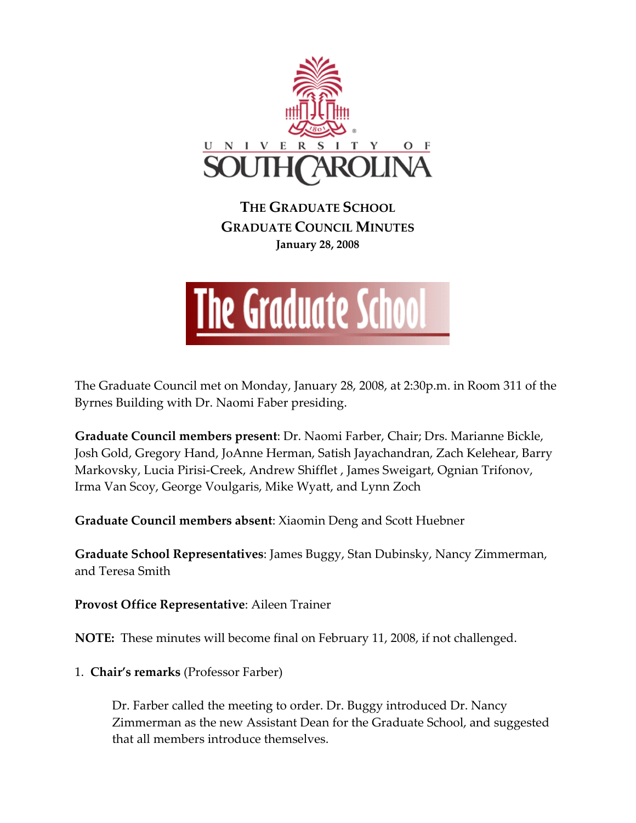

**THE GRADUATE SCHOOL GRADUATE COUNCIL MINUTES January 28, 2008**



The Graduate Council met on Monday, January 28, 2008, at 2:30p.m. in Room 311 of the Byrnes Building with Dr. Naomi Faber presiding.

**Graduate Council members present**: Dr. Naomi Farber, Chair; Drs. Marianne Bickle, Josh Gold, Gregory Hand, JoAnne Herman, Satish Jayachandran, Zach Kelehear, Barry Markovsky, Lucia Pirisi‐Creek, Andrew Shifflet , James Sweigart, Ognian Trifonov, Irma Van Scoy, George Voulgaris, Mike Wyatt, and Lynn Zoch

**Graduate Council members absent**: Xiaomin Deng and Scott Huebner

**Graduate School Representatives**: James Buggy, Stan Dubinsky, Nancy Zimmerman, and Teresa Smith

**Provost Office Representative**: Aileen Trainer

**NOTE:** These minutes will become final on February 11, 2008, if not challenged.

1. **Chair's remarks** (Professor Farber)

Dr. Farber called the meeting to order. Dr. Buggy introduced Dr. Nancy Zimmerman as the new Assistant Dean for the Graduate School, and suggested that all members introduce themselves.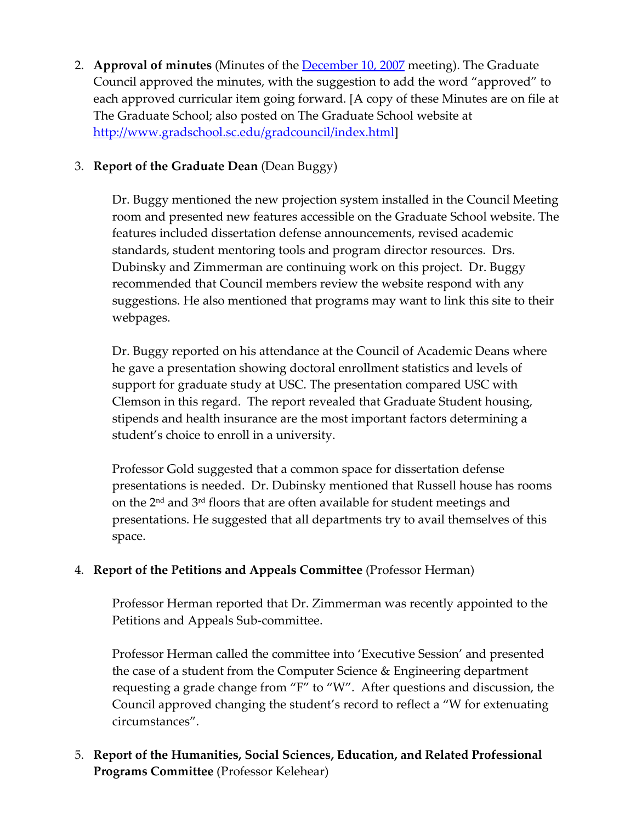2. **Approval of minutes** (Minutes of the December 10, 2007 meeting). The Graduate Council approved the minutes, with the suggestion to add the word "approved" to each approved curricular item going forward. [A copy of these Minutes are on file at The Graduate School; also posted on The Graduate School website at [http://www.gradschool.sc.edu/gradcouncil/index.html\]](http://www.gradschool.sc.edu/gradcouncil/index.html)

# 3. **Report of the Graduate Dean** (Dean Buggy)

Dr. Buggy mentioned the new projection system installed in the Council Meeting room and presented new features accessible on the Graduate School website. The features included dissertation defense announcements, revised academic standards, student mentoring tools and program director resources. Drs. Dubinsky and Zimmerman are continuing work on this project. Dr. Buggy recommended that Council members review the website respond with any suggestions. He also mentioned that programs may want to link this site to their webpages.

Dr. Buggy reported on his attendance at the Council of Academic Deans where he gave a presentation showing doctoral enrollment statistics and levels of support for graduate study at USC. The presentation compared USC with Clemson in this regard. The report revealed that Graduate Student housing, stipends and health insurance are the most important factors determining a student's choice to enroll in a university.

Professor Gold suggested that a common space for dissertation defense presentations is needed. Dr. Dubinsky mentioned that Russell house has rooms on the 2nd and 3rd floors that are often available for student meetings and presentations. He suggested that all departments try to avail themselves of this space.

## 4. **Report of the Petitions and Appeals Committee** (Professor Herman)

Professor Herman reported that Dr. Zimmerman was recently appointed to the Petitions and Appeals Sub‐committee.

Professor Herman called the committee into 'Executive Session' and presented the case of a student from the Computer Science & Engineering department requesting a grade change from "F" to "W". After questions and discussion, the Council approved changing the student's record to reflect a "W for extenuating circumstances".

# 5. **Report of the Humanities, Social Sciences, Education, and Related Professional Programs Committee** (Professor Kelehear)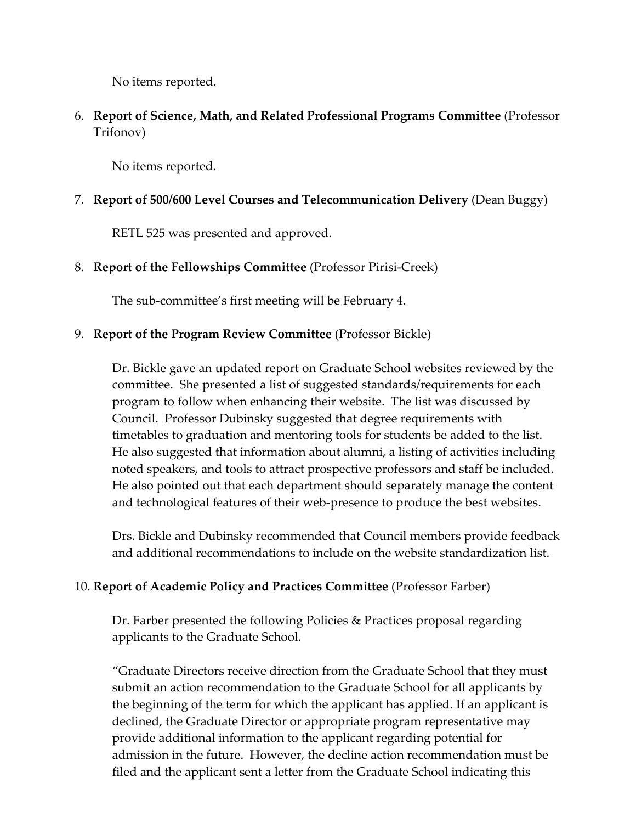No items reported.

6. **Report of Science, Math, and Related Professional Programs Committee** (Professor Trifonov)

No items reported.

# 7. **Report of 500/600 Level Courses and Telecommunication Delivery** (Dean Buggy)

RETL 525 was presented and approved.

### 8. **Report of the Fellowships Committee** (Professor Pirisi‐Creek)

The sub‐committee's first meeting will be February 4.

### 9. **Report of the Program Review Committee** (Professor Bickle)

Dr. Bickle gave an updated report on Graduate School websites reviewed by the committee. She presented a list of suggested standards/requirements for each program to follow when enhancing their website. The list was discussed by Council. Professor Dubinsky suggested that degree requirements with timetables to graduation and mentoring tools for students be added to the list. He also suggested that information about alumni, a listing of activities including noted speakers, and tools to attract prospective professors and staff be included. He also pointed out that each department should separately manage the content and technological features of their web‐presence to produce the best websites.

Drs. Bickle and Dubinsky recommended that Council members provide feedback and additional recommendations to include on the website standardization list.

### 10. **Report of Academic Policy and Practices Committee** (Professor Farber)

Dr. Farber presented the following Policies & Practices proposal regarding applicants to the Graduate School.

"Graduate Directors receive direction from the Graduate School that they must submit an action recommendation to the Graduate School for all applicants by the beginning of the term for which the applicant has applied. If an applicant is declined, the Graduate Director or appropriate program representative may provide additional information to the applicant regarding potential for admission in the future. However, the decline action recommendation must be filed and the applicant sent a letter from the Graduate School indicating this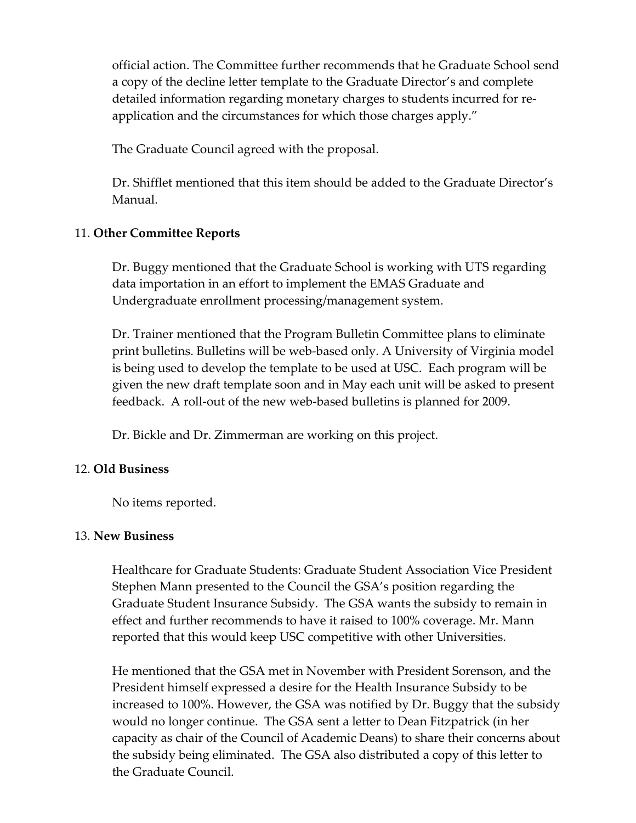official action. The Committee further recommends that he Graduate School send a copy of the decline letter template to the Graduate Director's and complete detailed information regarding monetary charges to students incurred for re‐ application and the circumstances for which those charges apply."

The Graduate Council agreed with the proposal.

Dr. Shifflet mentioned that this item should be added to the Graduate Director's Manual.

#### 11. **Other Committee Reports**

Dr. Buggy mentioned that the Graduate School is working with UTS regarding data importation in an effort to implement the EMAS Graduate and Undergraduate enrollment processing/management system.

Dr. Trainer mentioned that the Program Bulletin Committee plans to eliminate print bulletins. Bulletins will be web‐based only. A University of Virginia model is being used to develop the template to be used at USC. Each program will be given the new draft template soon and in May each unit will be asked to present feedback. A roll-out of the new web-based bulletins is planned for 2009.

Dr. Bickle and Dr. Zimmerman are working on this project.

#### 12. **Old Business**

No items reported.

#### 13. **New Business**

Healthcare for Graduate Students: Graduate Student Association Vice President Stephen Mann presented to the Council the GSA's position regarding the Graduate Student Insurance Subsidy. The GSA wants the subsidy to remain in effect and further recommends to have it raised to 100% coverage. Mr. Mann reported that this would keep USC competitive with other Universities.

He mentioned that the GSA met in November with President Sorenson, and the President himself expressed a desire for the Health Insurance Subsidy to be increased to 100%. However, the GSA was notified by Dr. Buggy that the subsidy would no longer continue. The GSA sent a letter to Dean Fitzpatrick (in her capacity as chair of the Council of Academic Deans) to share their concerns about the subsidy being eliminated. The GSA also distributed a copy of this letter to the Graduate Council.